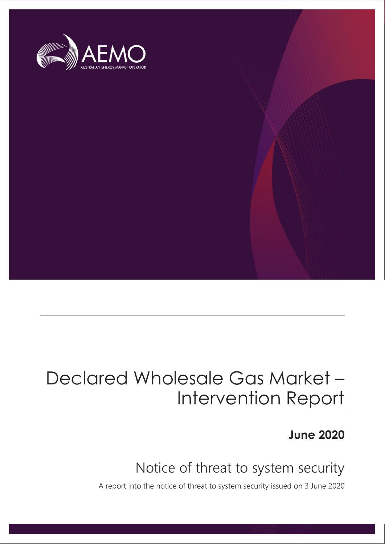

## Declared Wholesale Gas Market – Intervention Report

**June 2020**

### Notice of threat to system security

A report into the notice of threat to system security issued on 3 June 2020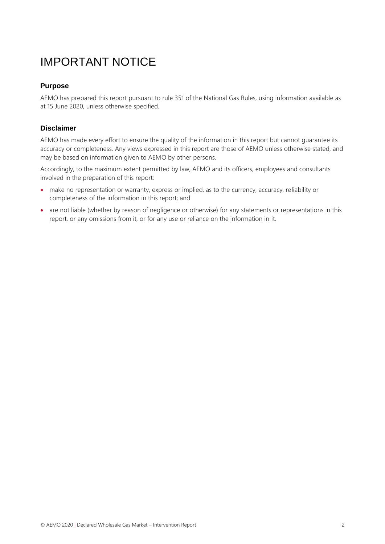### IMPORTANT NOTICE

#### **Purpose**

AEMO has prepared this report pursuant to rule 351 of the National Gas Rules, using information available as at 15 June 2020, unless otherwise specified.

#### **Disclaimer**

AEMO has made every effort to ensure the quality of the information in this report but cannot guarantee its accuracy or completeness. Any views expressed in this report are those of AEMO unless otherwise stated, and may be based on information given to AEMO by other persons.

Accordingly, to the maximum extent permitted by law, AEMO and its officers, employees and consultants involved in the preparation of this report:

- make no representation or warranty, express or implied, as to the currency, accuracy, reliability or completeness of the information in this report; and
- are not liable (whether by reason of negligence or otherwise) for any statements or representations in this report, or any omissions from it, or for any use or reliance on the information in it.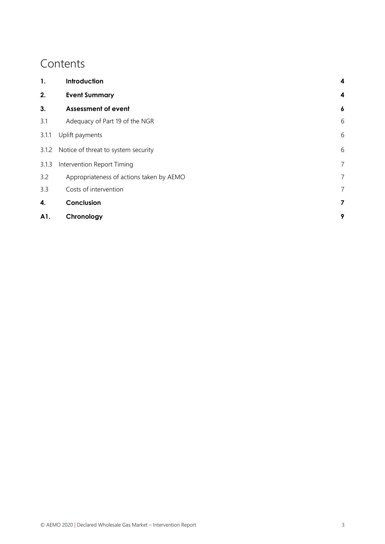### **Contents**

| 1.    | Introduction                              | 4                |  |
|-------|-------------------------------------------|------------------|--|
| 2.    | <b>Event Summary</b>                      | $\boldsymbol{4}$ |  |
| 3.    | <b>Assessment of event</b>                | $\boldsymbol{6}$ |  |
| 3.1   | Adequacy of Part 19 of the NGR            | 6                |  |
| 3.1.1 | Uplift payments                           |                  |  |
|       | 3.1.2 Notice of threat to system security | 6                |  |
| 3.1.3 | Intervention Report Timing                |                  |  |
| 3.2   | Appropriateness of actions taken by AEMO  | $\overline{7}$   |  |
| 3.3   | Costs of intervention                     | 7                |  |
| 4.    | Conclusion                                | 7                |  |
| A1.   | Chronology                                | 9                |  |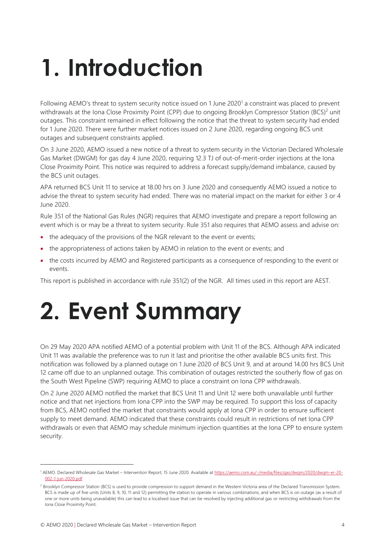# <span id="page-3-0"></span>**1. Introduction**

Following AEMO's threat to system security notice issued on 1 June 2020<sup>1</sup> a constraint was placed to prevent withdrawals at the Iona Close Proximity Point (CPP) due to ongoing Brooklyn Compressor Station (BCS)<sup>2</sup> unit outages. This constraint remained in effect following the notice that the threat to system security had ended for 1 June 2020. There were further market notices issued on 2 June 2020, regarding ongoing BCS unit outages and subsequent constraints applied.

On 3 June 2020, AEMO issued a new notice of a threat to system security in the Victorian Declared Wholesale Gas Market (DWGM) for gas day 4 June 2020, requiring 12.3 TJ of out-of-merit-order injections at the Iona Close Proximity Point. This notice was required to address a forecast supply/demand imbalance, caused by the BCS unit outages.

APA returned BCS Unit 11 to service at 18.00 hrs on 3 June 2020 and consequently AEMO issued a notice to advise the threat to system security had ended. There was no material impact on the market for either 3 or 4 June 2020.

Rule 351 of the National Gas Rules (NGR) requires that AEMO investigate and prepare a report following an event which is or may be a threat to system security. Rule 351 also requires that AEMO assess and advise on:

- the adequacy of the provisions of the NGR relevant to the event or events;
- the appropriateness of actions taken by AEMO in relation to the event or events; and
- the costs incurred by AEMO and Registered participants as a consequence of responding to the event or events.

This report is published in accordance with rule 351(2) of the NGR. All times used in this report are AEST.

## <span id="page-3-1"></span>**2. Event Summary**

On 29 May 2020 APA notified AEMO of a potential problem with Unit 11 of the BCS. Although APA indicated Unit 11 was available the preference was to run it last and prioritise the other available BCS units first. This notification was followed by a planned outage on 1 June 2020 of BCS Unit 9, and at around 14.00 hrs BCS Unit 12 came off due to an unplanned outage. This combination of outages restricted the southerly flow of gas on the South West Pipeline (SWP) requiring AEMO to place a constraint on Iona CPP withdrawals.

On 2 June 2020 AEMO notified the market that BCS Unit 11 and Unit 12 were both unavailable until further notice and that net injections from Iona CPP into the SWP may be required. To support this loss of capacity from BCS, AEMO notified the market that constraints would apply at Iona CPP in order to ensure sufficient supply to meet demand. AEMO indicated that these constraints could result in restrictions of net Iona CPP withdrawals or even that AEMO may schedule minimum injection quantities at the Iona CPP to ensure system security.

<sup>1</sup> AEMO. Declared Wholesale Gas Market – Intervention Report, 15 June 2020. Available at [https://aemo.com.au/-/media/files/gas/dwgm/2020/dwgm-er-20-](https://aemo.com.au/-/media/files/gas/dwgm/2020/dwgm-er-20-002-1-jun-2020.pdf) [002-1-jun-2020.pdf](https://aemo.com.au/-/media/files/gas/dwgm/2020/dwgm-er-20-002-1-jun-2020.pdf)

<sup>&</sup>lt;sup>2</sup> Brooklyn Compressor Station (BCS) is used to provide compression to support demand in the Western Victoria area of the Declared Transmission System. BCS is made up of five units (Units 8, 9, 10, 11 and 12) permitting the station to operate in various combinations, and when BCS is on outage (as a result of one or more units being unavailable) this can lead to a localised issue that can be resolved by injecting additional gas or restricting withdrawals from the Iona Close Proximity Point.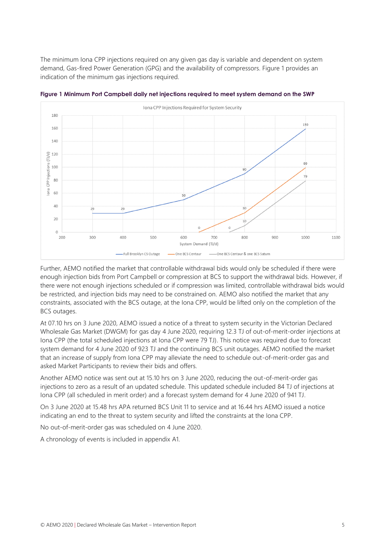The minimum Iona CPP injections required on any given gas day is variable and dependent on system demand, Gas-fired Power Generation (GPG) and the availability of compressors. [Figure 1](#page-4-0) provides an indication of the minimum gas injections required.



<span id="page-4-0"></span>**Figure 1 Minimum Port Campbell daily net injections required to meet system demand on the SWP**

Further, AEMO notified the market that controllable withdrawal bids would only be scheduled if there were enough injection bids from Port Campbell or compression at BCS to support the withdrawal bids. However, if there were not enough injections scheduled or if compression was limited, controllable withdrawal bids would be restricted, and injection bids may need to be constrained on. AEMO also notified the market that any constraints, associated with the BCS outage, at the Iona CPP, would be lifted only on the completion of the BCS outages.

At 07.10 hrs on 3 June 2020, AEMO issued a notice of a threat to system security in the Victorian Declared Wholesale Gas Market (DWGM) for gas day 4 June 2020, requiring 12.3 TJ of out-of-merit-order injections at Iona CPP (the total scheduled injections at Iona CPP were 79 TJ). This notice was required due to forecast system demand for 4 June 2020 of 923 TJ and the continuing BCS unit outages. AEMO notified the market that an increase of supply from Iona CPP may alleviate the need to schedule out-of-merit-order gas and asked Market Participants to review their bids and offers.

Another AEMO notice was sent out at 15.10 hrs on 3 June 2020, reducing the out-of-merit-order gas injections to zero as a result of an updated schedule. This updated schedule included 84 TJ of injections at Iona CPP (all scheduled in merit order) and a forecast system demand for 4 June 2020 of 941 TJ.

On 3 June 2020 at 15.48 hrs APA returned BCS Unit 11 to service and at 16.44 hrs AEMO issued a notice indicating an end to the threat to system security and lifted the constraints at the Iona CPP.

No out-of-merit-order gas was scheduled on 4 June 2020.

A chronology of events is included in appendix [A1.](#page-8-0)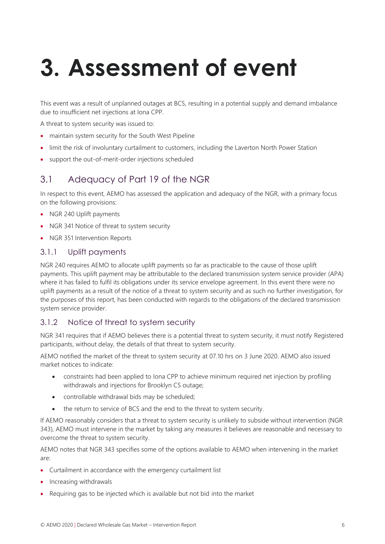# <span id="page-5-0"></span>**3. Assessment of event**

This event was a result of unplanned outages at BCS, resulting in a potential supply and demand imbalance due to insufficient net injections at Iona CPP.

A threat to system security was issued to:

- maintain system security for the South West Pipeline
- limit the risk of involuntary curtailment to customers, including the Laverton North Power Station
- <span id="page-5-1"></span>support the out-of-merit-order injections scheduled

#### 3.1 Adequacy of Part 19 of the NGR

In respect to this event, AEMO has assessed the application and adequacy of the NGR, with a primary focus on the following provisions:

- NGR 240 Uplift payments
- NGR 341 Notice of threat to system security
- NGR 351 Intervention Reports

#### <span id="page-5-2"></span>3.1.1 Uplift payments

NGR 240 requires AEMO to allocate uplift payments so far as practicable to the cause of those uplift payments. This uplift payment may be attributable to the declared transmission system service provider (APA) where it has failed to fulfil its obligations under its service envelope agreement. In this event there were no uplift payments as a result of the notice of a threat to system security and as such no further investigation, for the purposes of this report, has been conducted with regards to the obligations of the declared transmission system service provider.

#### <span id="page-5-3"></span>3.1.2 Notice of threat to system security

NGR 341 requires that if AEMO believes there is a potential threat to system security, it must notify Registered participants, without delay, the details of that threat to system security.

AEMO notified the market of the threat to system security at 07.10 hrs on 3 June 2020. AEMO also issued market notices to indicate:

- constraints had been applied to Iona CPP to achieve minimum required net injection by profiling withdrawals and injections for Brooklyn CS outage;
- controllable withdrawal bids may be scheduled;
- the return to service of BCS and the end to the threat to system security.

If AEMO reasonably considers that a threat to system security is unlikely to subside without intervention (NGR 343), AEMO must intervene in the market by taking any measures it believes are reasonable and necessary to overcome the threat to system security.

AEMO notes that NGR 343 specifies some of the options available to AEMO when intervening in the market are:

- Curtailment in accordance with the emergency curtailment list
- Increasing withdrawals
- Requiring gas to be injected which is available but not bid into the market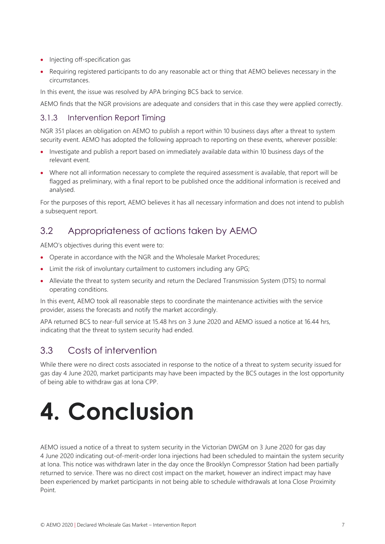- Injecting off-specification gas
- Requiring registered participants to do any reasonable act or thing that AEMO believes necessary in the circumstances.

In this event, the issue was resolved by APA bringing BCS back to service.

AEMO finds that the NGR provisions are adequate and considers that in this case they were applied correctly.

#### <span id="page-6-0"></span>3.1.3 Intervention Report Timing

NGR 351 places an obligation on AEMO to publish a report within 10 business days after a threat to system security event. AEMO has adopted the following approach to reporting on these events, wherever possible:

- Investigate and publish a report based on immediately available data within 10 business days of the relevant event.
- Where not all information necessary to complete the required assessment is available, that report will be flagged as preliminary, with a final report to be published once the additional information is received and analysed.

For the purposes of this report, AEMO believes it has all necessary information and does not intend to publish a subsequent report.

#### <span id="page-6-1"></span>3.2 Appropriateness of actions taken by AEMO

AEMO's objectives during this event were to:

- Operate in accordance with the NGR and the Wholesale Market Procedures;
- Limit the risk of involuntary curtailment to customers including any GPG;
- Alleviate the threat to system security and return the Declared Transmission System (DTS) to normal operating conditions.

In this event, AEMO took all reasonable steps to coordinate the maintenance activities with the service provider, assess the forecasts and notify the market accordingly.

APA returned BCS to near-full service at 15.48 hrs on 3 June 2020 and AEMO issued a notice at 16.44 hrs, indicating that the threat to system security had ended.

#### <span id="page-6-2"></span>3.3 Costs of intervention

While there were no direct costs associated in response to the notice of a threat to system security issued for gas day 4 June 2020, market participants may have been impacted by the BCS outages in the lost opportunity of being able to withdraw gas at Iona CPP.

## <span id="page-6-3"></span>**4. Conclusion**

AEMO issued a notice of a threat to system security in the Victorian DWGM on 3 June 2020 for gas day 4 June 2020 indicating out-of-merit-order Iona injections had been scheduled to maintain the system security at Iona. This notice was withdrawn later in the day once the Brooklyn Compressor Station had been partially returned to service. There was no direct cost impact on the market, however an indirect impact may have been experienced by market participants in not being able to schedule withdrawals at Iona Close Proximity Point.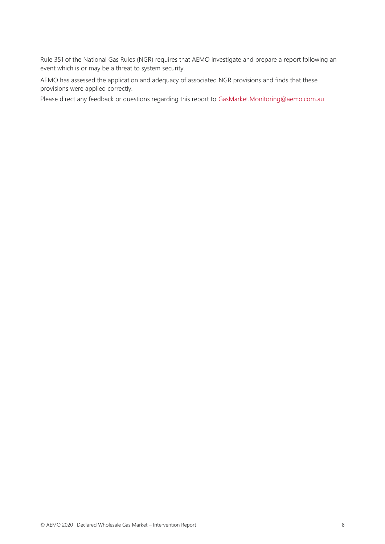Rule 351 of the National Gas Rules (NGR) requires that AEMO investigate and prepare a report following an event which is or may be a threat to system security.

AEMO has assessed the application and adequacy of associated NGR provisions and finds that these provisions were applied correctly.

Please direct any feedback or questions regarding this report to [GasMarket.Monitoring@aemo.com.au.](mailto:GasMarket.Monitoring@aemo.com.au)